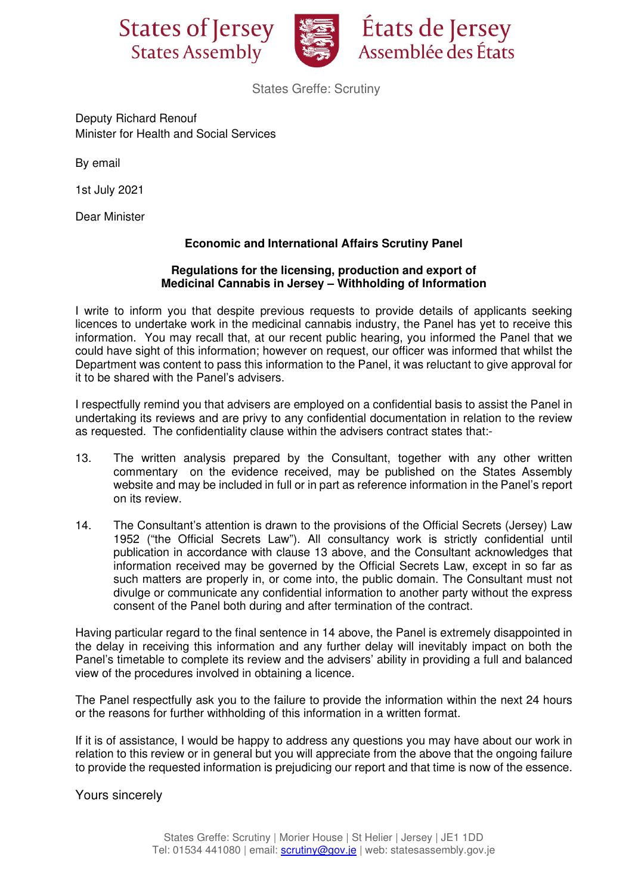



États de Jersey Assemblée des États

States Greffe: Scrutiny

Deputy Richard Renouf Minister for Health and Social Services

By email

1st July 2021

Dear Minister

## **Economic and International Affairs Scrutiny Panel**

## **Regulations for the licensing, production and export of Medicinal Cannabis in Jersey – Withholding of Information**

I write to inform you that despite previous requests to provide details of applicants seeking licences to undertake work in the medicinal cannabis industry, the Panel has yet to receive this information. You may recall that, at our recent public hearing, you informed the Panel that we could have sight of this information; however on request, our officer was informed that whilst the Department was content to pass this information to the Panel, it was reluctant to give approval for it to be shared with the Panel's advisers.

I respectfully remind you that advisers are employed on a confidential basis to assist the Panel in undertaking its reviews and are privy to any confidential documentation in relation to the review as requested. The confidentiality clause within the advisers contract states that:-

- 13. The written analysis prepared by the Consultant, together with any other written commentary on the evidence received, may be published on the States Assembly website and may be included in full or in part as reference information in the Panel's report on its review.
- 14. The Consultant's attention is drawn to the provisions of the Official Secrets (Jersey) Law 1952 ("the Official Secrets Law"). All consultancy work is strictly confidential until publication in accordance with clause 13 above, and the Consultant acknowledges that information received may be governed by the Official Secrets Law, except in so far as such matters are properly in, or come into, the public domain. The Consultant must not divulge or communicate any confidential information to another party without the express consent of the Panel both during and after termination of the contract.

Having particular regard to the final sentence in 14 above, the Panel is extremely disappointed in the delay in receiving this information and any further delay will inevitably impact on both the Panel's timetable to complete its review and the advisers' ability in providing a full and balanced view of the procedures involved in obtaining a licence.

The Panel respectfully ask you to the failure to provide the information within the next 24 hours or the reasons for further withholding of this information in a written format.

If it is of assistance, I would be happy to address any questions you may have about our work in relation to this review or in general but you will appreciate from the above that the ongoing failure to provide the requested information is prejudicing our report and that time is now of the essence.

Yours sincerely